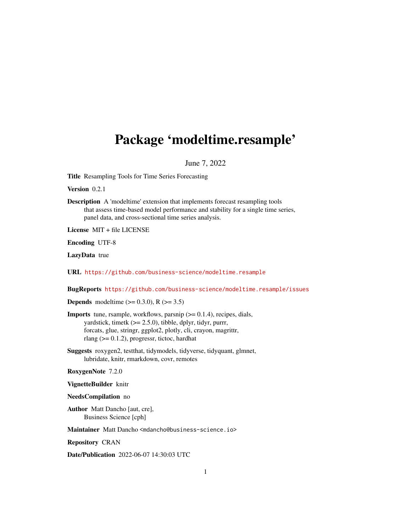## <span id="page-0-0"></span>Package 'modeltime.resample'

#### June 7, 2022

Title Resampling Tools for Time Series Forecasting

Version 0.2.1

Description A 'modeltime' extension that implements forecast resampling tools that assess time-based model performance and stability for a single time series, panel data, and cross-sectional time series analysis.

License MIT + file LICENSE

Encoding UTF-8

LazyData true

URL <https://github.com/business-science/modeltime.resample>

BugReports <https://github.com/business-science/modeltime.resample/issues>

**Depends** modeltime  $(>= 0.3.0)$ , R  $(>= 3.5)$ 

**Imports** tune, rsample, workflows, parsnip  $(>= 0.1.4)$ , recipes, dials, yardstick, timetk  $(>= 2.5.0)$ , tibble, dplyr, tidyr, purrr, forcats, glue, stringr, ggplot2, plotly, cli, crayon, magrittr, rlang ( $> = 0.1.2$ ), progressr, tictoc, hardhat

Suggests roxygen2, testthat, tidymodels, tidyverse, tidyquant, glmnet, lubridate, knitr, rmarkdown, covr, remotes

RoxygenNote 7.2.0

VignetteBuilder knitr

NeedsCompilation no

Author Matt Dancho [aut, cre], Business Science [cph]

Maintainer Matt Dancho <mdancho@business-science.io>

Repository CRAN

Date/Publication 2022-06-07 14:30:03 UTC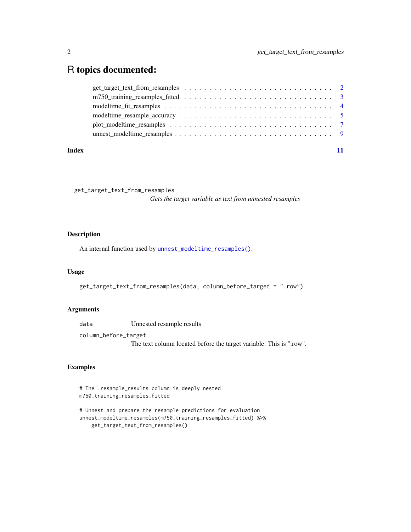### <span id="page-1-0"></span>R topics documented:

| Index |  |
|-------|--|
|       |  |
|       |  |
|       |  |
|       |  |
|       |  |
|       |  |

get\_target\_text\_from\_resamples

*Gets the target variable as text from unnested resamples*

#### Description

An internal function used by [unnest\\_modeltime\\_resamples\(\)](#page-8-1).

#### Usage

get\_target\_text\_from\_resamples(data, column\_before\_target = ".row")

#### Arguments

data Unnested resample results

column\_before\_target

The text column located before the target variable. This is ".row".

#### Examples

```
# The .resample_results column is deeply nested
m750_training_resamples_fitted
```

```
# Unnest and prepare the resample predictions for evaluation
unnest_modeltime_resamples(m750_training_resamples_fitted) %>%
   get_target_text_from_resamples()
```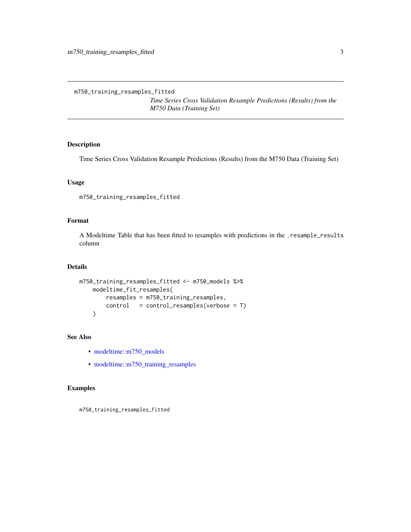<span id="page-2-0"></span>m750\_training\_resamples\_fitted

*Time Series Cross Validation Resample Predictions (Results) from the M750 Data (Training Set)*

#### Description

Time Series Cross Validation Resample Predictions (Results) from the M750 Data (Training Set)

#### Usage

m750\_training\_resamples\_fitted

#### Format

A Modeltime Table that has been fitted to resamples with predictions in the .resample\_results column

#### Details

```
m750_training_resamples_fitted <- m750_models %>%
   modeltime_fit_resamples(
       resamples = m750_training_resamples,
       control = control_resamples(verbose = T)
    )
```
#### See Also

- [modeltime::m750\\_models](#page-0-0)
- [modeltime::m750\\_training\\_resamples](#page-0-0)

#### Examples

m750\_training\_resamples\_fitted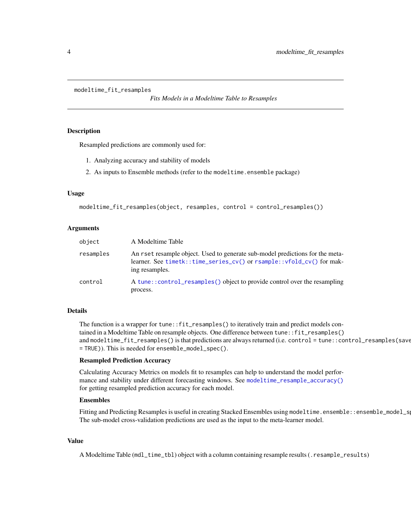```
modeltime_fit_resamples
```
*Fits Models in a Modeltime Table to Resamples*

#### Description

Resampled predictions are commonly used for:

- 1. Analyzing accuracy and stability of models
- 2. As inputs to Ensemble methods (refer to the modeltime.ensemble package)

#### Usage

```
modeltime_fit_resamples(object, resamples, control = control_resamples())
```
#### Arguments

| object    | A Modeltime Table                                                                                                                                                        |
|-----------|--------------------------------------------------------------------------------------------------------------------------------------------------------------------------|
| resamples | An rset resample object. Used to generate sub-model predictions for the meta-<br>learner. See timetk::time_series_cv() or rsample::vfold_cv() for mak-<br>ing resamples. |
| control   | A tune::control_resamples() object to provide control over the resampling<br>process.                                                                                    |

#### Details

The function is a wrapper for tune::fit\_resamples() to iteratively train and predict models contained in a Modeltime Table on resample objects. One difference between tune::fit\_resamples() and modeltime\_fit\_resamples() is that predictions are always returned (i.e. control = tune::control\_resamples(save = TRUE)). This is needed for ensemble\_model\_spec().

#### Resampled Prediction Accuracy

Calculating Accuracy Metrics on models fit to resamples can help to understand the model performance and stability under different forecasting windows. See [modeltime\\_resample\\_accuracy\(\)](#page-4-1) for getting resampled prediction accuracy for each model.

#### Ensembles

Fitting and Predicting Resamples is useful in creating Stacked Ensembles using modeltime.ensemble::ensemble\_model\_s The sub-model cross-validation predictions are used as the input to the meta-learner model.

#### Value

A Modeltime Table (mdl\_time\_tbl) object with a column containing resample results (.resample\_results)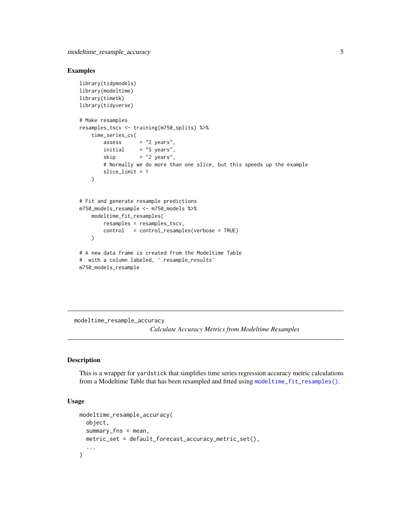#### <span id="page-4-0"></span>Examples

```
library(tidymodels)
library(modeltime)
library(timetk)
library(tidyverse)
# Make resamples
resamples_tscv <- training(m750_splits) %>%
    time_series_cv(
       assess = "2 years".initial = "5 years",skip = "2 years",
        # Normally we do more than one slice, but this speeds up the example
        slice_limit = 1
   \lambda# Fit and generate resample predictions
m750_models_resample <- m750_models %>%
    modeltime_fit_resamples(
        resamples = resamples_tscv,
        control = control_resamples(verbose = TRUE)
   \lambda# A new data frame is created from the Modeltime Table
# with a column labeled, '.resample_results'
m750_models_resample
```
<span id="page-4-1"></span>modeltime\_resample\_accuracy *Calculate Accuracy Metrics from Modeltime Resamples*

#### Description

This is a wrapper for yardstick that simplifies time series regression accuracy metric calculations from a Modeltime Table that has been resampled and fitted using [modeltime\\_fit\\_resamples\(\)](#page-3-1).

#### Usage

```
modeltime_resample_accuracy(
  object,
  summarv_fns = mean,
 metric_set = default_forecast_accuracy_metric_set(),
  ...
\mathcal{E}
```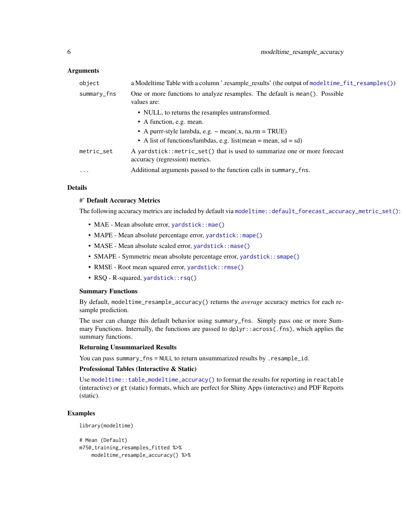#### <span id="page-5-0"></span>Arguments

| object      | a Modeltime Table with a column '.resample_results' (the output of modeltime_fit_resamples())              |
|-------------|------------------------------------------------------------------------------------------------------------|
| summary_fns | One or more functions to analyze resamples. The default is mean(). Possible<br>values are:                 |
|             | • NULL, to returns the resamples untransformed.                                                            |
|             | • A function, e.g. mean.                                                                                   |
|             | • A purrr-style lambda, e.g. $\sim$ mean(x, na.rm = TRUE)                                                  |
|             | • A list of functions/lambdas, e.g. list (mean = mean, sd = sd)                                            |
| metric_set  | A yardstick::metric_set() that is used to summarize one or more forecast<br>accuracy (regression) metrics. |
| $\cdots$    | Additional arguments passed to the function calls in summary_fns.                                          |

#### Details

#### #' Default Accuracy Metrics

The following accuracy metrics are included by default via [modeltime::default\\_forecast\\_accuracy\\_metric\\_set\(\)](#page-0-0):

- MAE Mean absolute error, [yardstick::mae\(\)](#page-0-0)
- MAPE Mean absolute percentage error, [yardstick::mape\(\)](#page-0-0)
- MASE Mean absolute scaled error, [yardstick::mase\(\)](#page-0-0)
- SMAPE Symmetric mean absolute percentage error, yardstick:: smape()
- RMSE Root mean squared error, yardstick:: rmse()
- RSQ R-squared, [yardstick::rsq\(\)](#page-0-0)

#### Summary Functions

By default, modeltime\_resample\_accuracy() returns the *average* accuracy metrics for each resample prediction.

The user can change this default behavior using summary\_fns. Simply pass one or more Summary Functions. Internally, the functions are passed to dplyr::across(.fns), which applies the summary functions.

#### Returning Unsummarized Results

You can pass summary\_fns = NULL to return unsummarized results by .resample\_id.

#### Professional Tables (Interactive & Static)

Use [modeltime::table\\_modeltime\\_accuracy\(\)](#page-0-0) to format the results for reporting in reactable (interactive) or gt (static) formats, which are perfect for Shiny Apps (interactive) and PDF Reports (static).

#### Examples

library(modeltime)

```
# Mean (Default)
m750_training_resamples_fitted %>%
   modeltime_resample_accuracy() %>%
```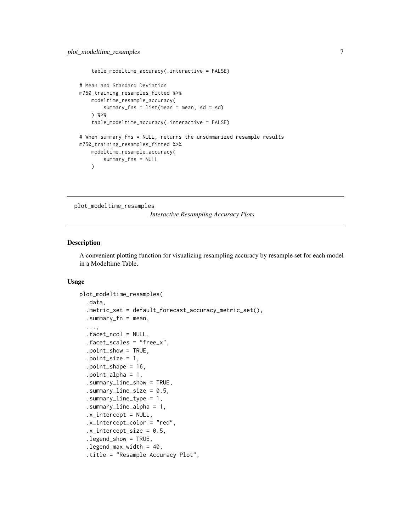```
table_modeltime_accuracy(.interactive = FALSE)
# Mean and Standard Deviation
m750_training_resamples_fitted %>%
    modeltime_resample_accuracy(
        summary_fns = list(mean = mean, sd = sd)
    ) %>%
    table_modeltime_accuracy(.interactive = FALSE)
# When summary_fns = NULL, returns the unsummarized resample results
m750_training_resamples_fitted %>%
    modeltime_resample_accuracy(
        summary_fns = NULL
    \lambda
```
plot\_modeltime\_resamples

*Interactive Resampling Accuracy Plots*

#### Description

A convenient plotting function for visualizing resampling accuracy by resample set for each model in a Modeltime Table.

#### Usage

```
plot_modeltime_resamples(
  .data,
  .metric_set = default_forecast_accuracy_metric_set(),
  .summary_fn = mean,
  ...,
  .facet_ncol = NULL,
  .facet_scales = "free_x",
  .point_show = TRUE,
  .point_size = 1,
  .point_shape = 16,
  .point_alpha = 1,
  .summary_line_show = TRUE,
  .summary_line_size = 0.5,
  .summary_line_type = 1,
  .summary_line_alpha = 1,
  .x_intercept = NULL,
  .x_intercept_color = "red",
  .x_intercept_size = 0.5,
  .legend_show = TRUE,
  .legend_max_width = 40,.title = "Resample Accuracy Plot",
```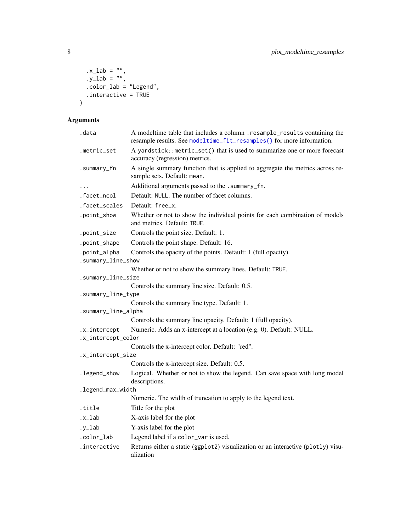```
.x\_lab = '''',
   .y\_lab = '''',
 \text{color\_lab} = "Legend",.interactive = TRUE
\mathcal{L}
```
#### Arguments

| .data                                                                                                | A modeltime table that includes a column .resample_results containing the<br>resample results. See modeltime_fit_resamples() for more information. |  |  |  |
|------------------------------------------------------------------------------------------------------|----------------------------------------------------------------------------------------------------------------------------------------------------|--|--|--|
| .metric_set                                                                                          | A yardstick::metric_set() that is used to summarize one or more forecast<br>accuracy (regression) metrics.                                         |  |  |  |
| .summary_fn                                                                                          | A single summary function that is applied to aggregate the metrics across re-<br>sample sets. Default: mean.                                       |  |  |  |
| $\cdots$                                                                                             | Additional arguments passed to the .summary_fn.                                                                                                    |  |  |  |
| .facet_ncol                                                                                          | Default: NULL. The number of facet columns.                                                                                                        |  |  |  |
| .facet_scales                                                                                        | Default: free_x.                                                                                                                                   |  |  |  |
| .point_show                                                                                          | Whether or not to show the individual points for each combination of models<br>and metrics. Default: TRUE.                                         |  |  |  |
| .point_size                                                                                          | Controls the point size. Default: 1.                                                                                                               |  |  |  |
| .point_shape                                                                                         | Controls the point shape. Default: 16.                                                                                                             |  |  |  |
| Controls the opacity of the points. Default: 1 (full opacity).<br>.point_alpha<br>.summary_line_show |                                                                                                                                                    |  |  |  |
|                                                                                                      | Whether or not to show the summary lines. Default: TRUE.                                                                                           |  |  |  |
| .summary_line_size                                                                                   |                                                                                                                                                    |  |  |  |
|                                                                                                      | Controls the summary line size. Default: 0.5.                                                                                                      |  |  |  |
| .summary_line_type                                                                                   |                                                                                                                                                    |  |  |  |
| .summary_line_alpha                                                                                  | Controls the summary line type. Default: 1.                                                                                                        |  |  |  |
|                                                                                                      | Controls the summary line opacity. Default: 1 (full opacity).                                                                                      |  |  |  |
| .x_intercept                                                                                         | Numeric. Adds an x-intercept at a location (e.g. 0). Default: NULL.                                                                                |  |  |  |
| .x_intercept_color                                                                                   |                                                                                                                                                    |  |  |  |
|                                                                                                      | Controls the x-intercept color. Default: "red".                                                                                                    |  |  |  |
| .x_intercept_size                                                                                    |                                                                                                                                                    |  |  |  |
|                                                                                                      | Controls the x-intercept size. Default: 0.5.                                                                                                       |  |  |  |
| .legend_show                                                                                         | Logical. Whether or not to show the legend. Can save space with long model<br>descriptions.                                                        |  |  |  |
| .legend_max_width                                                                                    |                                                                                                                                                    |  |  |  |
|                                                                                                      | Numeric. The width of truncation to apply to the legend text.                                                                                      |  |  |  |
| .title                                                                                               | Title for the plot                                                                                                                                 |  |  |  |
| .x_lab                                                                                               | X-axis label for the plot                                                                                                                          |  |  |  |
| $.y_l$ ab                                                                                            | Y-axis label for the plot                                                                                                                          |  |  |  |
| .color_lab                                                                                           | Legend label if a color_var is used.                                                                                                               |  |  |  |
| .interactive                                                                                         | Returns either a static (ggplot2) visualization or an interactive (plotly) visu-<br>alization                                                      |  |  |  |

<span id="page-7-0"></span>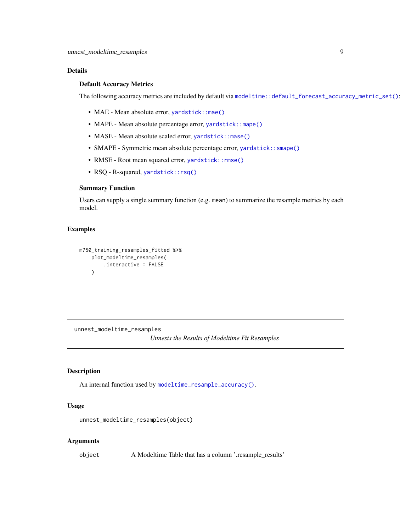#### <span id="page-8-0"></span>Details

#### Default Accuracy Metrics

The following accuracy metrics are included by default via [modeltime::default\\_forecast\\_accuracy\\_metric\\_set\(\)](#page-0-0):

- MAE Mean absolute error, [yardstick::mae\(\)](#page-0-0)
- MAPE Mean absolute percentage error, [yardstick::mape\(\)](#page-0-0)
- MASE Mean absolute scaled error, [yardstick::mase\(\)](#page-0-0)
- SMAPE Symmetric mean absolute percentage error, yardstick:: smape()
- RMSE Root mean squared error, [yardstick::rmse\(\)](#page-0-0)
- RSQ R-squared, [yardstick::rsq\(\)](#page-0-0)

#### Summary Function

Users can supply a single summary function (e.g. mean) to summarize the resample metrics by each model.

#### Examples

```
m750_training_resamples_fitted %>%
   plot_modeltime_resamples(
        .interactive = FALSE
    \lambda
```
<span id="page-8-1"></span>unnest\_modeltime\_resamples

*Unnests the Results of Modeltime Fit Resamples*

#### Description

An internal function used by [modeltime\\_resample\\_accuracy\(\)](#page-4-1).

#### Usage

```
unnest_modeltime_resamples(object)
```
#### Arguments

object A Modeltime Table that has a column '.resample\_results'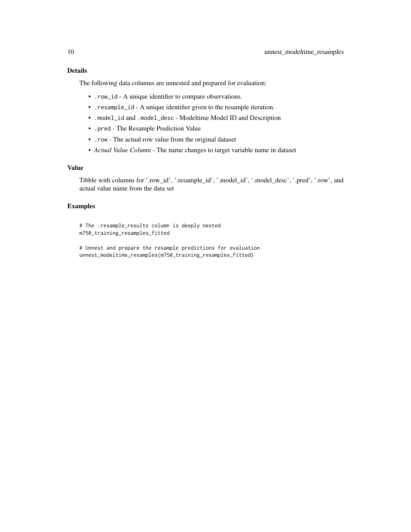The following data columns are unnested and prepared for evaluation:

- .row\_id A unique identifier to compare observations.
- .resample\_id A unique identifier given to the resample iteration.
- .model\_id and .model\_desc Modeltime Model ID and Description
- .pred The Resample Prediction Value
- .row The actual row value from the original dataset
- *Actual Value Column* The name changes to target variable name in dataset

#### Value

Tibble with columns for '.row\_id', '.resample\_id', '.model\_id', '.model\_desc', '.pred', '.row', and actual value name from the data set

#### Examples

# The .resample\_results column is deeply nested m750\_training\_resamples\_fitted

# Unnest and prepare the resample predictions for evaluation unnest\_modeltime\_resamples(m750\_training\_resamples\_fitted)